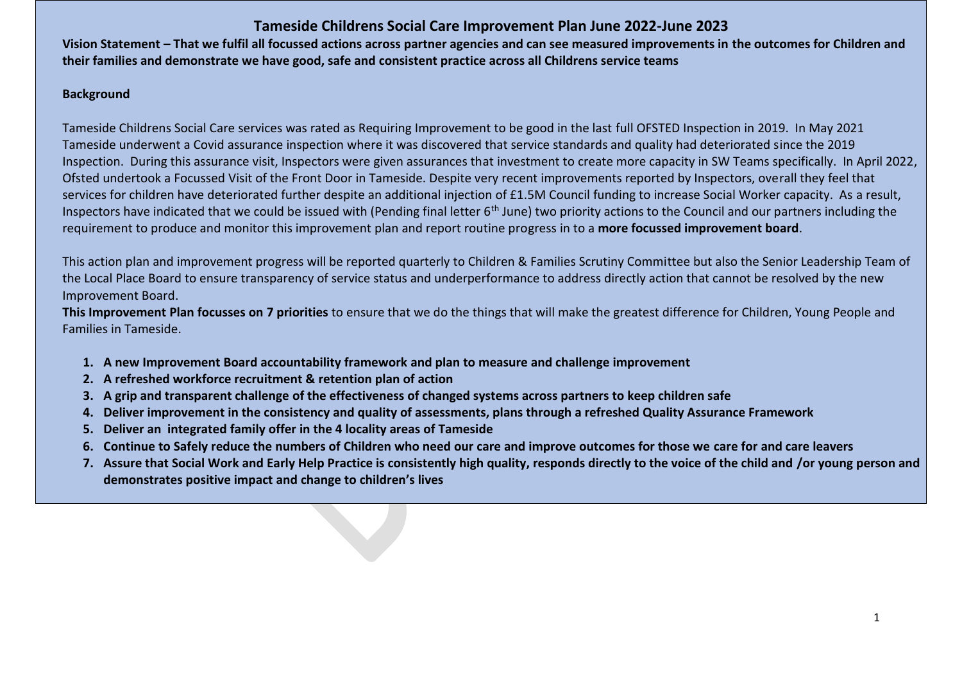## **Tameside Childrens Social Care Improvement Plan June 2022-June 2023**

**Vision Statement – That we fulfil all focussed actions across partner agencies and can see measured improvements in the outcomes for Children and their families and demonstrate we have good, safe and consistent practice across all Childrens service teams**

## **Background**

Tameside Childrens Social Care services was rated as Requiring Improvement to be good in the last full OFSTED Inspection in 2019. In May 2021 Tameside underwent a Covid assurance inspection where it was discovered that service standards and quality had deteriorated since the 2019 Inspection. During this assurance visit, Inspectors were given assurances that investment to create more capacity in SW Teams specifically. In April 2022, Ofsted undertook a Focussed Visit of the Front Door in Tameside. Despite very recent improvements reported by Inspectors, overall they feel that services for children have deteriorated further despite an additional injection of £1.5M Council funding to increase Social Worker capacity. As a result, Inspectors have indicated that we could be issued with (Pending final letter  $6<sup>th</sup>$  June) two priority actions to the Council and our partners including the requirement to produce and monitor this improvement plan and report routine progress in to a **more focussed improvement board**.

This action plan and improvement progress will be reported quarterly to Children & Families Scrutiny Committee but also the Senior Leadership Team of the Local Place Board to ensure transparency of service status and underperformance to address directly action that cannot be resolved by the new Improvement Board.

**This Improvement Plan focusses on 7 priorities** to ensure that we do the things that will make the greatest difference for Children, Young People and Families in Tameside.

- **1. A new Improvement Board accountability framework and plan to measure and challenge improvement**
- **2. A refreshed workforce recruitment & retention plan of action**
- **3. A grip and transparent challenge of the effectiveness of changed systems across partners to keep children safe**
- **4. Deliver improvement in the consistency and quality of assessments, plans through a refreshed Quality Assurance Framework**
- **5. Deliver an integrated family offer in the 4 locality areas of Tameside**
- **6. Continue to Safely reduce the numbers of Children who need our care and improve outcomes for those we care for and care leavers**
- **7. Assure that Social Work and Early Help Practice is consistently high quality, responds directly to the voice of the child and /or young person and demonstrates positive impact and change to children's lives**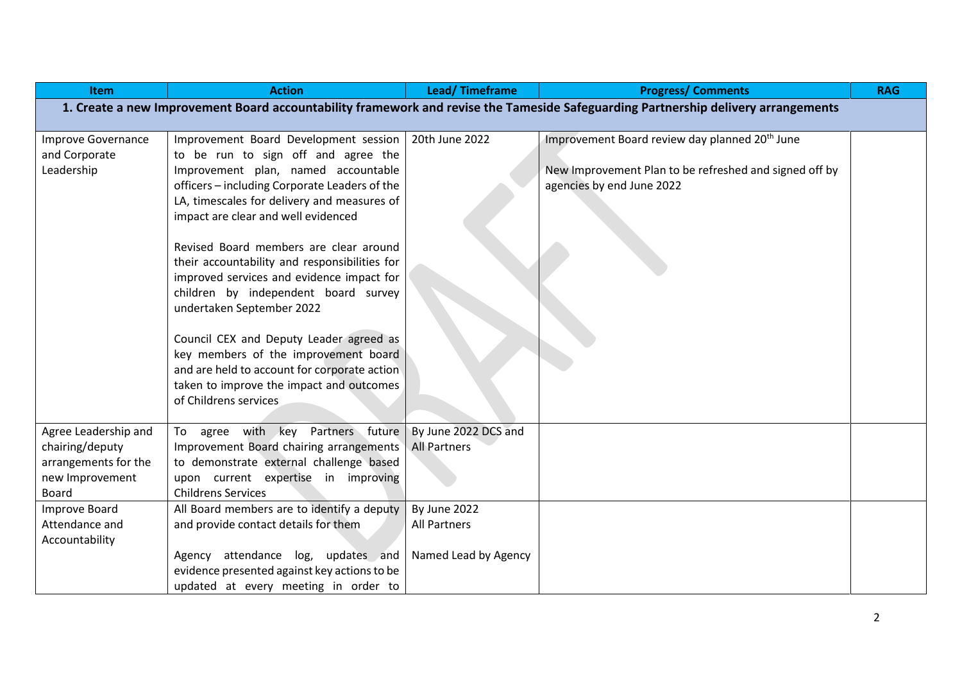| <b>Item</b>          | <b>Action</b>                                 | <b>Lead/Timeframe</b> | <b>Progress/Comments</b>                                                                                                          | <b>RAG</b> |
|----------------------|-----------------------------------------------|-----------------------|-----------------------------------------------------------------------------------------------------------------------------------|------------|
|                      |                                               |                       | 1. Create a new Improvement Board accountability framework and revise the Tameside Safeguarding Partnership delivery arrangements |            |
|                      |                                               |                       |                                                                                                                                   |            |
| Improve Governance   | Improvement Board Development session         | 20th June 2022        | Improvement Board review day planned 20 <sup>th</sup> June                                                                        |            |
| and Corporate        | to be run to sign off and agree the           |                       |                                                                                                                                   |            |
| Leadership           | Improvement plan, named accountable           |                       | New Improvement Plan to be refreshed and signed off by                                                                            |            |
|                      | officers - including Corporate Leaders of the |                       | agencies by end June 2022                                                                                                         |            |
|                      | LA, timescales for delivery and measures of   |                       |                                                                                                                                   |            |
|                      | impact are clear and well evidenced           |                       |                                                                                                                                   |            |
|                      | Revised Board members are clear around        |                       |                                                                                                                                   |            |
|                      | their accountability and responsibilities for |                       |                                                                                                                                   |            |
|                      | improved services and evidence impact for     |                       |                                                                                                                                   |            |
|                      | children by independent board survey          |                       |                                                                                                                                   |            |
|                      | undertaken September 2022                     |                       |                                                                                                                                   |            |
|                      |                                               |                       |                                                                                                                                   |            |
|                      | Council CEX and Deputy Leader agreed as       |                       |                                                                                                                                   |            |
|                      | key members of the improvement board          |                       |                                                                                                                                   |            |
|                      | and are held to account for corporate action  |                       |                                                                                                                                   |            |
|                      | taken to improve the impact and outcomes      |                       |                                                                                                                                   |            |
|                      | of Childrens services                         |                       |                                                                                                                                   |            |
| Agree Leadership and | To agree with key Partners future             | By June 2022 DCS and  |                                                                                                                                   |            |
| chairing/deputy      | Improvement Board chairing arrangements       | <b>All Partners</b>   |                                                                                                                                   |            |
| arrangements for the | to demonstrate external challenge based       |                       |                                                                                                                                   |            |
| new Improvement      | upon current expertise in improving           |                       |                                                                                                                                   |            |
| Board                | <b>Childrens Services</b>                     |                       |                                                                                                                                   |            |
| Improve Board        | All Board members are to identify a deputy    | By June 2022          |                                                                                                                                   |            |
| Attendance and       | and provide contact details for them          | All Partners          |                                                                                                                                   |            |
| Accountability       |                                               |                       |                                                                                                                                   |            |
|                      | Agency attendance log, updates and            | Named Lead by Agency  |                                                                                                                                   |            |
|                      | evidence presented against key actions to be  |                       |                                                                                                                                   |            |
|                      | updated at every meeting in order to          |                       |                                                                                                                                   |            |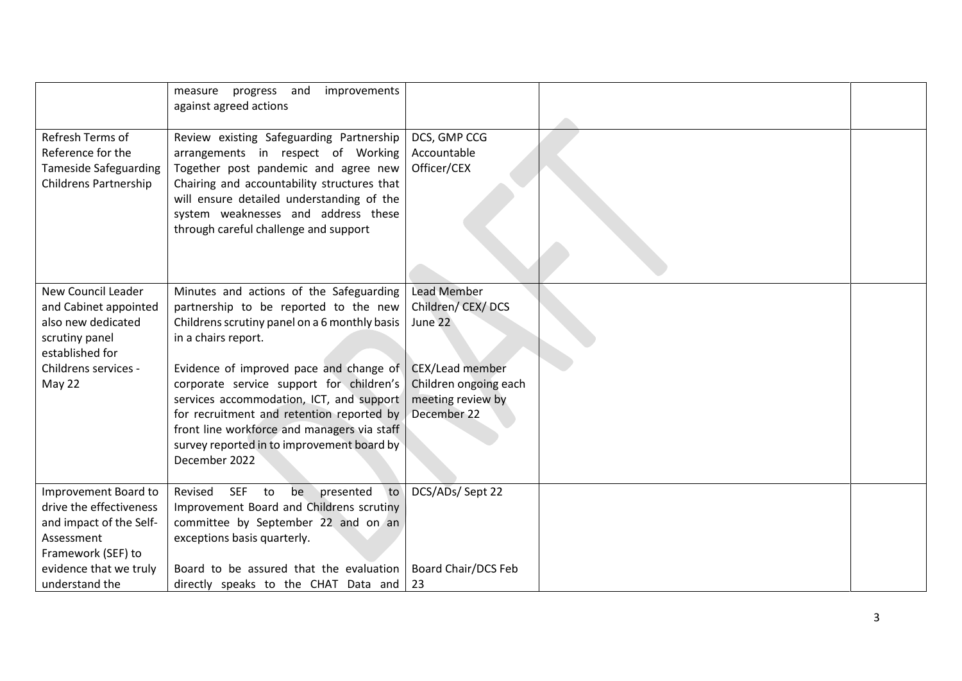|                                                                                                                                                 | improvements<br>measure<br>progress<br>and<br>against agreed actions                                                                                                                                                                                                                                                                                                                                                                                   |                                                                                                                                   |  |
|-------------------------------------------------------------------------------------------------------------------------------------------------|--------------------------------------------------------------------------------------------------------------------------------------------------------------------------------------------------------------------------------------------------------------------------------------------------------------------------------------------------------------------------------------------------------------------------------------------------------|-----------------------------------------------------------------------------------------------------------------------------------|--|
| Refresh Terms of<br>Reference for the<br><b>Tameside Safeguarding</b><br><b>Childrens Partnership</b>                                           | Review existing Safeguarding Partnership<br>arrangements in respect of Working<br>Together post pandemic and agree new<br>Chairing and accountability structures that<br>will ensure detailed understanding of the<br>system weaknesses and address these<br>through careful challenge and support                                                                                                                                                     | DCS, GMP CCG<br>Accountable<br>Officer/CEX                                                                                        |  |
| <b>New Council Leader</b><br>and Cabinet appointed<br>also new dedicated<br>scrutiny panel<br>established for<br>Childrens services -<br>May 22 | Minutes and actions of the Safeguarding<br>partnership to be reported to the new<br>Childrens scrutiny panel on a 6 monthly basis<br>in a chairs report.<br>Evidence of improved pace and change of<br>corporate service support for children's<br>services accommodation, ICT, and support<br>for recruitment and retention reported by<br>front line workforce and managers via staff<br>survey reported in to improvement board by<br>December 2022 | <b>Lead Member</b><br>Children/CEX/DCS<br>June 22<br>CEX/Lead member<br>Children ongoing each<br>meeting review by<br>December 22 |  |
| Improvement Board to<br>drive the effectiveness<br>and impact of the Self-<br>Assessment<br>Framework (SEF) to                                  | presented<br>to<br>Revised<br><b>SEF</b><br>to<br>be<br>Improvement Board and Childrens scrutiny<br>committee by September 22 and on an<br>exceptions basis quarterly.                                                                                                                                                                                                                                                                                 | DCS/ADs/ Sept 22                                                                                                                  |  |
| evidence that we truly<br>understand the                                                                                                        | Board to be assured that the evaluation<br>directly speaks to the CHAT Data and                                                                                                                                                                                                                                                                                                                                                                        | <b>Board Chair/DCS Feb</b><br>23                                                                                                  |  |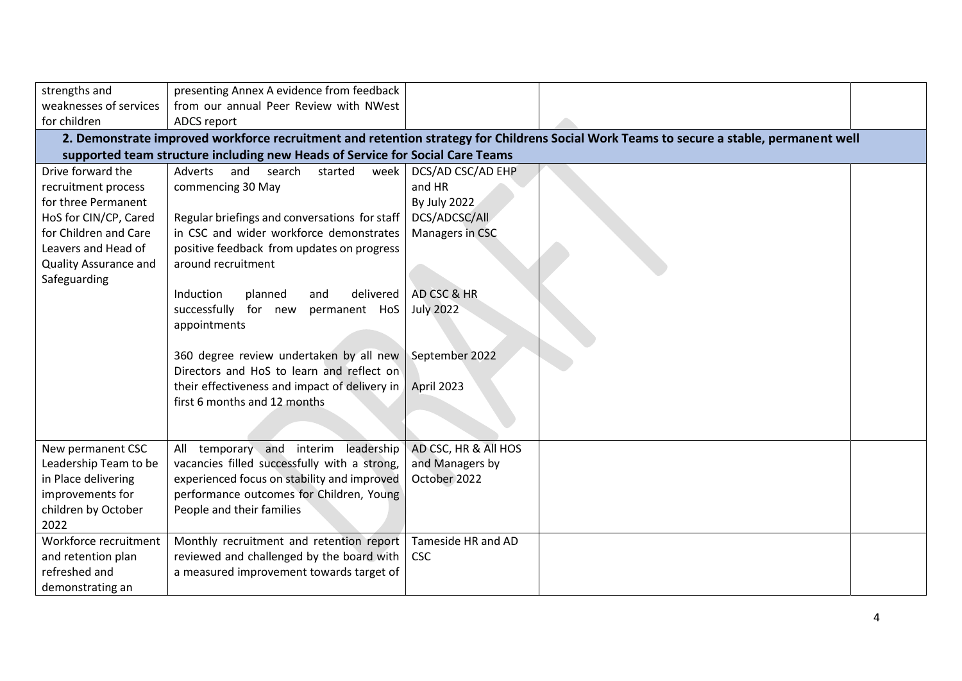| strengths and                | presenting Annex A evidence from feedback                                     |                      |                                                                                                                                         |  |
|------------------------------|-------------------------------------------------------------------------------|----------------------|-----------------------------------------------------------------------------------------------------------------------------------------|--|
| weaknesses of services       | from our annual Peer Review with NWest                                        |                      |                                                                                                                                         |  |
| for children                 | ADCS report                                                                   |                      |                                                                                                                                         |  |
|                              |                                                                               |                      | 2. Demonstrate improved workforce recruitment and retention strategy for Childrens Social Work Teams to secure a stable, permanent well |  |
|                              | supported team structure including new Heads of Service for Social Care Teams |                      |                                                                                                                                         |  |
| Drive forward the            | search<br>and<br>started<br>week<br>Adverts                                   | DCS/AD CSC/AD EHP    |                                                                                                                                         |  |
| recruitment process          | commencing 30 May                                                             | and HR               |                                                                                                                                         |  |
| for three Permanent          |                                                                               | By July 2022         |                                                                                                                                         |  |
| HoS for CIN/CP, Cared        | Regular briefings and conversations for staff                                 | DCS/ADCSC/All        |                                                                                                                                         |  |
| for Children and Care        | in CSC and wider workforce demonstrates                                       | Managers in CSC      |                                                                                                                                         |  |
| Leavers and Head of          | positive feedback from updates on progress                                    |                      |                                                                                                                                         |  |
| <b>Quality Assurance and</b> | around recruitment                                                            |                      |                                                                                                                                         |  |
| Safeguarding                 |                                                                               |                      |                                                                                                                                         |  |
|                              | Induction<br>delivered<br>planned<br>and                                      | AD CSC & HR          |                                                                                                                                         |  |
|                              | successfully<br>for new<br>permanent HoS                                      | <b>July 2022</b>     |                                                                                                                                         |  |
|                              | appointments                                                                  |                      |                                                                                                                                         |  |
|                              |                                                                               |                      |                                                                                                                                         |  |
|                              | 360 degree review undertaken by all new                                       | September 2022       |                                                                                                                                         |  |
|                              | Directors and HoS to learn and reflect on                                     |                      |                                                                                                                                         |  |
|                              | their effectiveness and impact of delivery in                                 | April 2023           |                                                                                                                                         |  |
|                              | first 6 months and 12 months                                                  |                      |                                                                                                                                         |  |
|                              |                                                                               |                      |                                                                                                                                         |  |
|                              |                                                                               |                      |                                                                                                                                         |  |
| New permanent CSC            | temporary and interim leadership<br>All                                       | AD CSC, HR & All HOS |                                                                                                                                         |  |
| Leadership Team to be        | vacancies filled successfully with a strong,                                  | and Managers by      |                                                                                                                                         |  |
| in Place delivering          | experienced focus on stability and improved                                   | October 2022         |                                                                                                                                         |  |
| improvements for             | performance outcomes for Children, Young                                      |                      |                                                                                                                                         |  |
| children by October          | People and their families                                                     |                      |                                                                                                                                         |  |
| 2022                         |                                                                               |                      |                                                                                                                                         |  |
| Workforce recruitment        | Monthly recruitment and retention report                                      | Tameside HR and AD   |                                                                                                                                         |  |
| and retention plan           | reviewed and challenged by the board with                                     | <b>CSC</b>           |                                                                                                                                         |  |
| refreshed and                | a measured improvement towards target of                                      |                      |                                                                                                                                         |  |
| demonstrating an             |                                                                               |                      |                                                                                                                                         |  |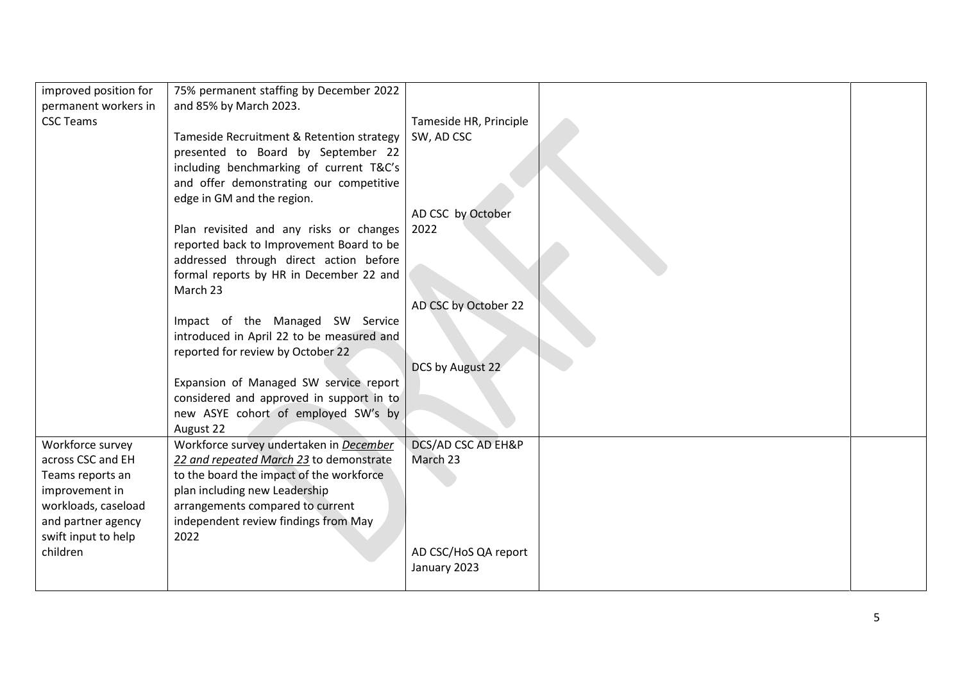| improved position for | 75% permanent staffing by December 2022   |                               |  |
|-----------------------|-------------------------------------------|-------------------------------|--|
| permanent workers in  | and 85% by March 2023.                    |                               |  |
| <b>CSC Teams</b>      |                                           | Tameside HR, Principle        |  |
|                       | Tameside Recruitment & Retention strategy | SW, AD CSC                    |  |
|                       | presented to Board by September 22        |                               |  |
|                       | including benchmarking of current T&C's   |                               |  |
|                       | and offer demonstrating our competitive   |                               |  |
|                       | edge in GM and the region.                |                               |  |
|                       |                                           | AD CSC by October             |  |
|                       | Plan revisited and any risks or changes   | 2022                          |  |
|                       | reported back to Improvement Board to be  |                               |  |
|                       | addressed through direct action before    |                               |  |
|                       | formal reports by HR in December 22 and   |                               |  |
|                       | March 23                                  |                               |  |
|                       |                                           | AD CSC by October 22          |  |
|                       | Impact of the Managed SW Service          |                               |  |
|                       | introduced in April 22 to be measured and |                               |  |
|                       | reported for review by October 22         |                               |  |
|                       |                                           | DCS by August 22              |  |
|                       | Expansion of Managed SW service report    |                               |  |
|                       | considered and approved in support in to  |                               |  |
|                       | new ASYE cohort of employed SW's by       |                               |  |
|                       | August 22                                 |                               |  |
| Workforce survey      | Workforce survey undertaken in December   | <b>DCS/AD CSC AD EH&amp;P</b> |  |
| across CSC and EH     | 22 and repeated March 23 to demonstrate   | March 23                      |  |
| Teams reports an      | to the board the impact of the workforce  |                               |  |
| improvement in        | plan including new Leadership             |                               |  |
| workloads, caseload   | arrangements compared to current          |                               |  |
| and partner agency    | independent review findings from May      |                               |  |
| swift input to help   | 2022                                      |                               |  |
| children              |                                           | AD CSC/HoS QA report          |  |
|                       |                                           | January 2023                  |  |
|                       |                                           |                               |  |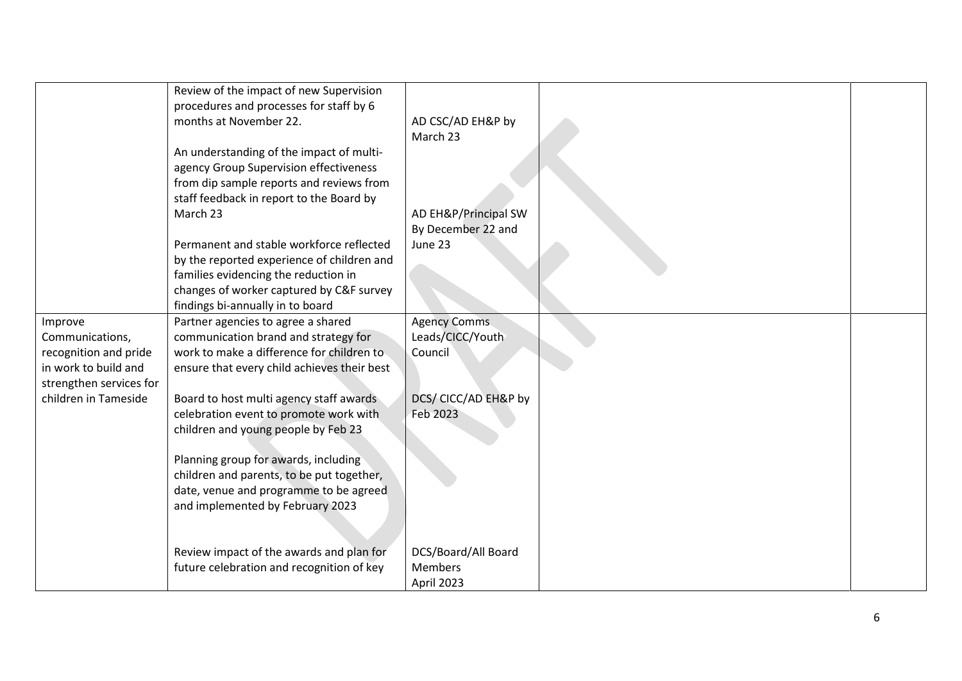|                         | Review of the impact of new Supervision<br>procedures and processes for staff by 6<br>months at November 22. | AD CSC/AD EH&P by    |  |
|-------------------------|--------------------------------------------------------------------------------------------------------------|----------------------|--|
|                         |                                                                                                              | March 23             |  |
|                         | An understanding of the impact of multi-                                                                     |                      |  |
|                         | agency Group Supervision effectiveness                                                                       |                      |  |
|                         | from dip sample reports and reviews from                                                                     |                      |  |
|                         | staff feedback in report to the Board by                                                                     |                      |  |
|                         | March 23                                                                                                     | AD EH&P/Principal SW |  |
|                         |                                                                                                              | By December 22 and   |  |
|                         | Permanent and stable workforce reflected                                                                     | June 23              |  |
|                         | by the reported experience of children and<br>families evidencing the reduction in                           |                      |  |
|                         | changes of worker captured by C&F survey                                                                     |                      |  |
|                         | findings bi-annually in to board                                                                             |                      |  |
| Improve                 | Partner agencies to agree a shared                                                                           | <b>Agency Comms</b>  |  |
| Communications,         | communication brand and strategy for                                                                         | Leads/CICC/Youth     |  |
| recognition and pride   | work to make a difference for children to                                                                    | Council              |  |
| in work to build and    | ensure that every child achieves their best                                                                  |                      |  |
| strengthen services for |                                                                                                              |                      |  |
| children in Tameside    | Board to host multi agency staff awards                                                                      | DCS/ CICC/AD EH&P by |  |
|                         | celebration event to promote work with                                                                       | Feb 2023             |  |
|                         | children and young people by Feb 23                                                                          |                      |  |
|                         |                                                                                                              |                      |  |
|                         | Planning group for awards, including<br>children and parents, to be put together,                            |                      |  |
|                         | date, venue and programme to be agreed                                                                       |                      |  |
|                         | and implemented by February 2023                                                                             |                      |  |
|                         |                                                                                                              |                      |  |
|                         |                                                                                                              |                      |  |
|                         | Review impact of the awards and plan for                                                                     | DCS/Board/All Board  |  |
|                         | future celebration and recognition of key                                                                    | <b>Members</b>       |  |
|                         |                                                                                                              | April 2023           |  |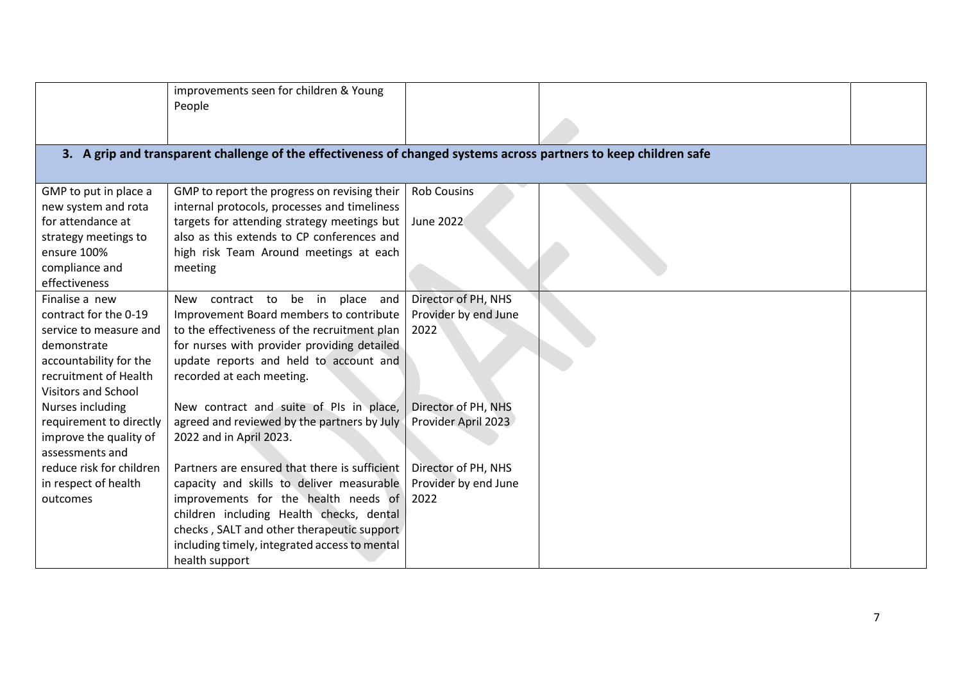|                                          | improvements seen for children & Young                                                                            |                      |  |
|------------------------------------------|-------------------------------------------------------------------------------------------------------------------|----------------------|--|
|                                          | People                                                                                                            |                      |  |
|                                          |                                                                                                                   |                      |  |
|                                          |                                                                                                                   |                      |  |
|                                          | 3. A grip and transparent challenge of the effectiveness of changed systems across partners to keep children safe |                      |  |
|                                          |                                                                                                                   |                      |  |
| GMP to put in place a                    | GMP to report the progress on revising their                                                                      | <b>Rob Cousins</b>   |  |
|                                          | internal protocols, processes and timeliness                                                                      |                      |  |
| new system and rota<br>for attendance at |                                                                                                                   |                      |  |
|                                          | targets for attending strategy meetings but                                                                       | June 2022            |  |
| strategy meetings to                     | also as this extends to CP conferences and                                                                        |                      |  |
| ensure 100%                              | high risk Team Around meetings at each                                                                            |                      |  |
| compliance and                           | meeting                                                                                                           |                      |  |
| effectiveness                            |                                                                                                                   |                      |  |
| Finalise a new                           | New contract to be in place and                                                                                   | Director of PH, NHS  |  |
| contract for the 0-19                    | Improvement Board members to contribute                                                                           | Provider by end June |  |
| service to measure and                   | to the effectiveness of the recruitment plan                                                                      | 2022                 |  |
| demonstrate                              | for nurses with provider providing detailed                                                                       |                      |  |
| accountability for the                   | update reports and held to account and                                                                            |                      |  |
| recruitment of Health                    | recorded at each meeting.                                                                                         |                      |  |
| <b>Visitors and School</b>               |                                                                                                                   |                      |  |
| Nurses including                         | New contract and suite of PIs in place,                                                                           | Director of PH, NHS  |  |
| requirement to directly                  | agreed and reviewed by the partners by July                                                                       | Provider April 2023  |  |
| improve the quality of                   | 2022 and in April 2023.                                                                                           |                      |  |
| assessments and                          |                                                                                                                   |                      |  |
| reduce risk for children                 | Partners are ensured that there is sufficient                                                                     | Director of PH, NHS  |  |
| in respect of health                     | capacity and skills to deliver measurable                                                                         | Provider by end June |  |
| outcomes                                 | improvements for the health needs of                                                                              | 2022                 |  |
|                                          | children including Health checks, dental                                                                          |                      |  |
|                                          | checks, SALT and other therapeutic support                                                                        |                      |  |
|                                          | including timely, integrated access to mental                                                                     |                      |  |
|                                          |                                                                                                                   |                      |  |
|                                          | health support                                                                                                    |                      |  |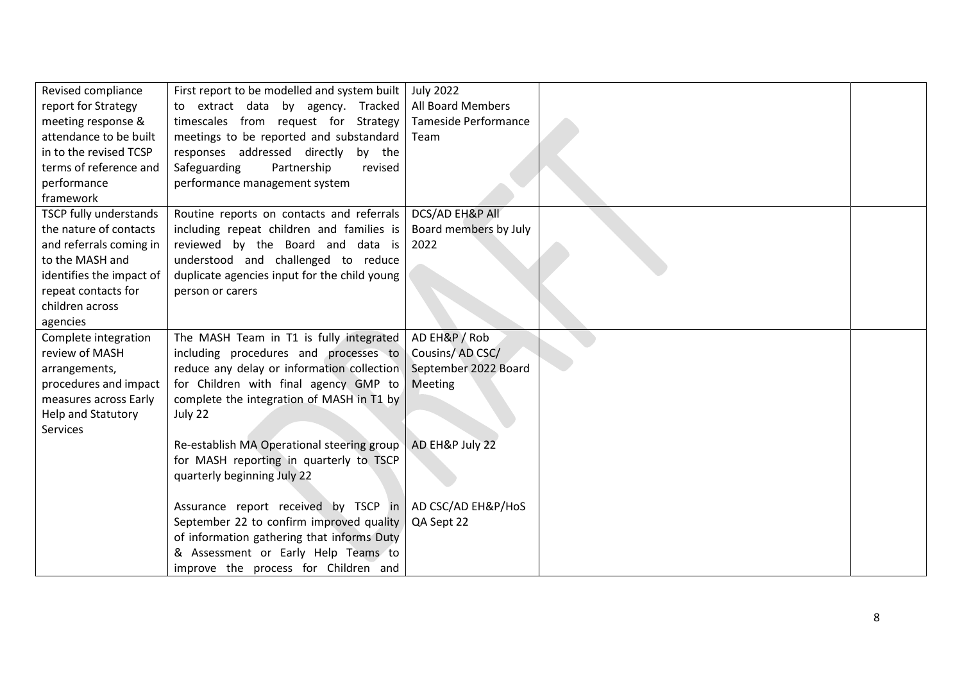| Revised compliance       | First report to be modelled and system built | <b>July 2022</b>            |  |
|--------------------------|----------------------------------------------|-----------------------------|--|
| report for Strategy      | to extract data by agency. Tracked           | All Board Members           |  |
| meeting response &       | timescales from request for Strategy         | <b>Tameside Performance</b> |  |
| attendance to be built   | meetings to be reported and substandard      | Team                        |  |
| in to the revised TCSP   | responses addressed directly by the          |                             |  |
| terms of reference and   | Safeguarding<br>Partnership<br>revised       |                             |  |
| performance              | performance management system                |                             |  |
| framework                |                                              |                             |  |
| TSCP fully understands   | Routine reports on contacts and referrals    | DCS/AD EH&P All             |  |
| the nature of contacts   | including repeat children and families is    | Board members by July       |  |
| and referrals coming in  | reviewed by the Board and data is            | 2022                        |  |
| to the MASH and          | understood and challenged to reduce          |                             |  |
| identifies the impact of | duplicate agencies input for the child young |                             |  |
| repeat contacts for      | person or carers                             |                             |  |
| children across          |                                              |                             |  |
| agencies                 |                                              |                             |  |
| Complete integration     | The MASH Team in T1 is fully integrated      | AD EH&P / Rob               |  |
| review of MASH           | including procedures and processes to        | Cousins/AD CSC/             |  |
| arrangements,            | reduce any delay or information collection   | September 2022 Board        |  |
| procedures and impact    | for Children with final agency GMP to        | Meeting                     |  |
| measures across Early    | complete the integration of MASH in T1 by    |                             |  |
| Help and Statutory       | July 22                                      |                             |  |
| Services                 |                                              |                             |  |
|                          | Re-establish MA Operational steering group   | AD EH&P July 22             |  |
|                          | for MASH reporting in quarterly to TSCP      |                             |  |
|                          | quarterly beginning July 22                  |                             |  |
|                          |                                              |                             |  |
|                          | Assurance report received by TSCP in         | AD CSC/AD EH&P/HoS          |  |
|                          | September 22 to confirm improved quality     | QA Sept 22                  |  |
|                          | of information gathering that informs Duty   |                             |  |
|                          | & Assessment or Early Help Teams to          |                             |  |
|                          | improve the process for Children and         |                             |  |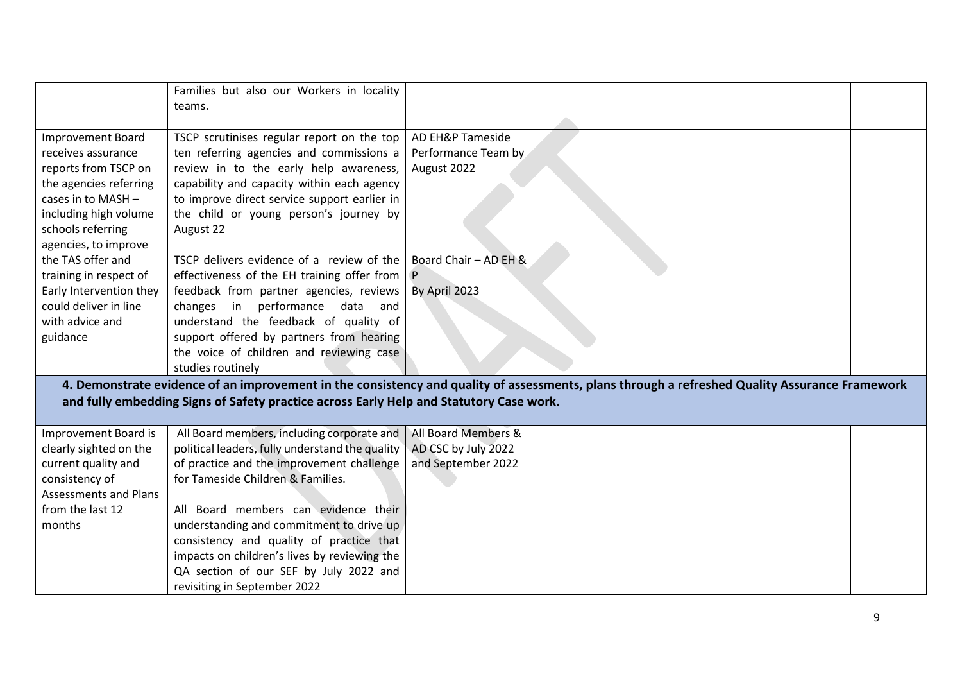|                              | Families but also our Workers in locality                                               |                       |                                                                                                                                                |  |
|------------------------------|-----------------------------------------------------------------------------------------|-----------------------|------------------------------------------------------------------------------------------------------------------------------------------------|--|
|                              | teams.                                                                                  |                       |                                                                                                                                                |  |
|                              |                                                                                         |                       |                                                                                                                                                |  |
| <b>Improvement Board</b>     | TSCP scrutinises regular report on the top                                              | AD EH&P Tameside      |                                                                                                                                                |  |
| receives assurance           | ten referring agencies and commissions a                                                | Performance Team by   |                                                                                                                                                |  |
| reports from TSCP on         | review in to the early help awareness,                                                  | August 2022           |                                                                                                                                                |  |
| the agencies referring       | capability and capacity within each agency                                              |                       |                                                                                                                                                |  |
| cases in to MASH -           | to improve direct service support earlier in                                            |                       |                                                                                                                                                |  |
| including high volume        | the child or young person's journey by                                                  |                       |                                                                                                                                                |  |
| schools referring            | August 22                                                                               |                       |                                                                                                                                                |  |
| agencies, to improve         |                                                                                         |                       |                                                                                                                                                |  |
| the TAS offer and            | TSCP delivers evidence of a review of the                                               | Board Chair - AD EH & |                                                                                                                                                |  |
| training in respect of       | effectiveness of the EH training offer from                                             |                       |                                                                                                                                                |  |
| Early Intervention they      | feedback from partner agencies, reviews                                                 | By April 2023         |                                                                                                                                                |  |
| could deliver in line        | changes in performance data and                                                         |                       |                                                                                                                                                |  |
| with advice and              | understand the feedback of quality of                                                   |                       |                                                                                                                                                |  |
| guidance                     | support offered by partners from hearing                                                |                       |                                                                                                                                                |  |
|                              | the voice of children and reviewing case                                                |                       |                                                                                                                                                |  |
|                              | studies routinely                                                                       |                       |                                                                                                                                                |  |
|                              |                                                                                         |                       | 4. Demonstrate evidence of an improvement in the consistency and quality of assessments, plans through a refreshed Quality Assurance Framework |  |
|                              | and fully embedding Signs of Safety practice across Early Help and Statutory Case work. |                       |                                                                                                                                                |  |
|                              |                                                                                         |                       |                                                                                                                                                |  |
| Improvement Board is         | All Board members, including corporate and                                              | All Board Members &   |                                                                                                                                                |  |
| clearly sighted on the       | political leaders, fully understand the quality                                         | AD CSC by July 2022   |                                                                                                                                                |  |
| current quality and          | of practice and the improvement challenge                                               | and September 2022    |                                                                                                                                                |  |
| consistency of               | for Tameside Children & Families.                                                       |                       |                                                                                                                                                |  |
| <b>Assessments and Plans</b> |                                                                                         |                       |                                                                                                                                                |  |
| from the last 12             | All Board members can evidence their                                                    |                       |                                                                                                                                                |  |
| months                       | understanding and commitment to drive up                                                |                       |                                                                                                                                                |  |
|                              | consistency and quality of practice that                                                |                       |                                                                                                                                                |  |
|                              | impacts on children's lives by reviewing the                                            |                       |                                                                                                                                                |  |
|                              | QA section of our SEF by July 2022 and                                                  |                       |                                                                                                                                                |  |
|                              | revisiting in September 2022                                                            |                       |                                                                                                                                                |  |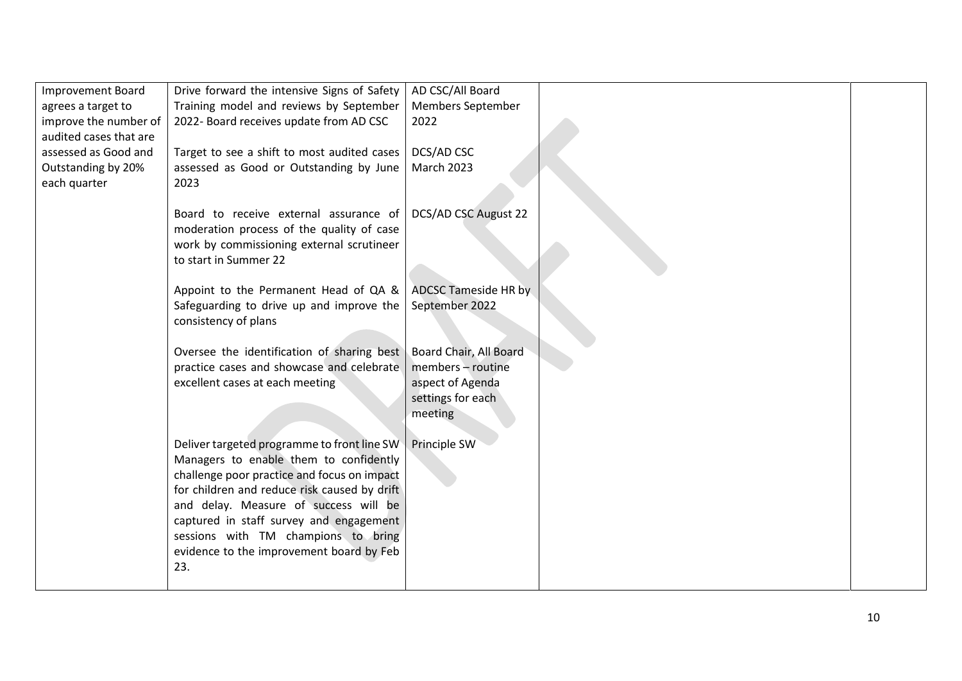| <b>Improvement Board</b> | Drive forward the intensive Signs of Safety                                             | AD CSC/All Board                            |  |
|--------------------------|-----------------------------------------------------------------------------------------|---------------------------------------------|--|
| agrees a target to       | Training model and reviews by September                                                 | Members September                           |  |
| improve the number of    | 2022- Board receives update from AD CSC                                                 | 2022                                        |  |
| audited cases that are   |                                                                                         |                                             |  |
| assessed as Good and     | Target to see a shift to most audited cases                                             | DCS/AD CSC                                  |  |
| Outstanding by 20%       | assessed as Good or Outstanding by June                                                 | <b>March 2023</b>                           |  |
| each quarter             | 2023                                                                                    |                                             |  |
|                          |                                                                                         |                                             |  |
|                          | Board to receive external assurance of                                                  | DCS/AD CSC August 22                        |  |
|                          | moderation process of the quality of case                                               |                                             |  |
|                          | work by commissioning external scrutineer                                               |                                             |  |
|                          | to start in Summer 22                                                                   |                                             |  |
|                          |                                                                                         |                                             |  |
|                          | Appoint to the Permanent Head of QA &                                                   | <b>ADCSC Tameside HR by</b>                 |  |
|                          | Safeguarding to drive up and improve the                                                | September 2022                              |  |
|                          | consistency of plans                                                                    |                                             |  |
|                          |                                                                                         |                                             |  |
|                          | Oversee the identification of sharing best<br>practice cases and showcase and celebrate | Board Chair, All Board<br>members - routine |  |
|                          | excellent cases at each meeting                                                         | aspect of Agenda                            |  |
|                          |                                                                                         | settings for each                           |  |
|                          |                                                                                         | meeting                                     |  |
|                          |                                                                                         |                                             |  |
|                          | Deliver targeted programme to front line SW                                             | Principle SW                                |  |
|                          | Managers to enable them to confidently                                                  |                                             |  |
|                          | challenge poor practice and focus on impact                                             |                                             |  |
|                          | for children and reduce risk caused by drift                                            |                                             |  |
|                          | and delay. Measure of success will be                                                   |                                             |  |
|                          | captured in staff survey and engagement                                                 |                                             |  |
|                          | sessions with TM champions to bring                                                     |                                             |  |
|                          | evidence to the improvement board by Feb                                                |                                             |  |
|                          | 23.                                                                                     |                                             |  |
|                          |                                                                                         |                                             |  |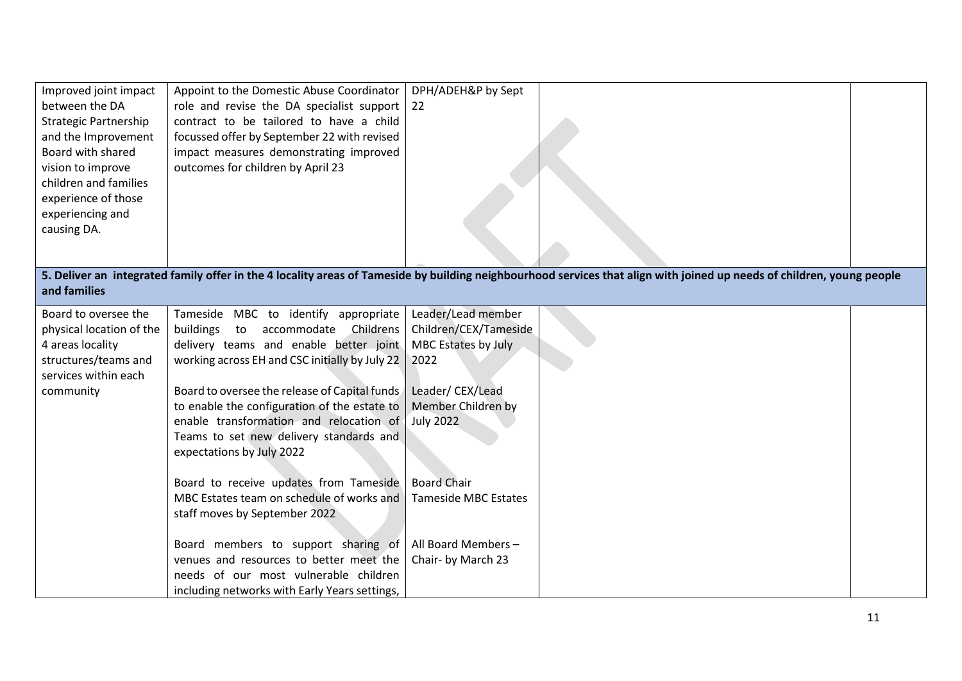| Improved joint impact<br>between the DA<br><b>Strategic Partnership</b><br>and the Improvement<br>Board with shared<br>vision to improve<br>children and families<br>experience of those<br>experiencing and<br>causing DA. | Appoint to the Domestic Abuse Coordinator<br>role and revise the DA specialist support<br>contract to be tailored to have a child<br>focussed offer by September 22 with revised<br>impact measures demonstrating improved<br>outcomes for children by April 23                                                                                                                                     | DPH/ADEH&P by Sept<br>22                                                                                                                |                                                                                                                                                                        |  |
|-----------------------------------------------------------------------------------------------------------------------------------------------------------------------------------------------------------------------------|-----------------------------------------------------------------------------------------------------------------------------------------------------------------------------------------------------------------------------------------------------------------------------------------------------------------------------------------------------------------------------------------------------|-----------------------------------------------------------------------------------------------------------------------------------------|------------------------------------------------------------------------------------------------------------------------------------------------------------------------|--|
| and families                                                                                                                                                                                                                |                                                                                                                                                                                                                                                                                                                                                                                                     |                                                                                                                                         | 5. Deliver an integrated family offer in the 4 locality areas of Tameside by building neighbourhood services that align with joined up needs of children, young people |  |
| Board to oversee the<br>physical location of the<br>4 areas locality<br>structures/teams and<br>services within each<br>community                                                                                           | Tameside MBC to identify appropriate<br>buildings<br>Childrens<br>to<br>accommodate<br>delivery teams and enable better joint<br>working across EH and CSC initially by July 22<br>Board to oversee the release of Capital funds<br>to enable the configuration of the estate to<br>enable transformation and relocation of<br>Teams to set new delivery standards and<br>expectations by July 2022 | Leader/Lead member<br>Children/CEX/Tameside<br>MBC Estates by July<br>2022<br>Leader/CEX/Lead<br>Member Children by<br><b>July 2022</b> |                                                                                                                                                                        |  |
|                                                                                                                                                                                                                             | Board to receive updates from Tameside<br>MBC Estates team on schedule of works and<br>staff moves by September 2022                                                                                                                                                                                                                                                                                | <b>Board Chair</b><br><b>Tameside MBC Estates</b>                                                                                       |                                                                                                                                                                        |  |
|                                                                                                                                                                                                                             | Board members to support sharing of<br>venues and resources to better meet the<br>needs of our most vulnerable children<br>including networks with Early Years settings,                                                                                                                                                                                                                            | All Board Members-<br>Chair- by March 23                                                                                                |                                                                                                                                                                        |  |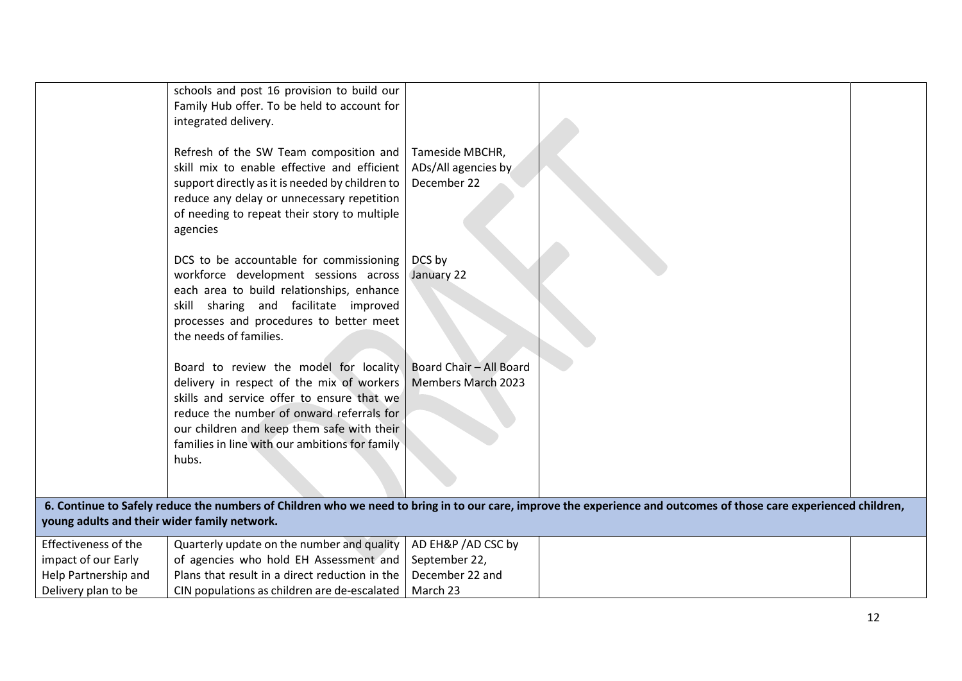|                                              | schools and post 16 provision to build our<br>Family Hub offer. To be held to account for<br>integrated delivery.<br>Refresh of the SW Team composition and<br>skill mix to enable effective and efficient<br>support directly as it is needed by children to<br>reduce any delay or unnecessary repetition<br>of needing to repeat their story to multiple<br>agencies | Tameside MBCHR,<br>ADs/All agencies by<br>December 22 |                                                                                                                                                                   |  |
|----------------------------------------------|-------------------------------------------------------------------------------------------------------------------------------------------------------------------------------------------------------------------------------------------------------------------------------------------------------------------------------------------------------------------------|-------------------------------------------------------|-------------------------------------------------------------------------------------------------------------------------------------------------------------------|--|
|                                              | DCS to be accountable for commissioning<br>workforce development sessions across<br>each area to build relationships, enhance<br>skill sharing and facilitate improved<br>processes and procedures to better meet<br>the needs of families.                                                                                                                             | DCS by<br>January 22                                  |                                                                                                                                                                   |  |
|                                              | Board to review the model for locality<br>delivery in respect of the mix of workers<br>skills and service offer to ensure that we<br>reduce the number of onward referrals for<br>our children and keep them safe with their<br>families in line with our ambitions for family<br>hubs.                                                                                 | Board Chair - All Board<br><b>Members March 2023</b>  |                                                                                                                                                                   |  |
| young adults and their wider family network. |                                                                                                                                                                                                                                                                                                                                                                         |                                                       | 6. Continue to Safely reduce the numbers of Children who we need to bring in to our care, improve the experience and outcomes of those care experienced children, |  |
| Effectiveness of the                         | Quarterly update on the number and quality                                                                                                                                                                                                                                                                                                                              | AD EH&P / AD CSC by                                   |                                                                                                                                                                   |  |
| impact of our Early                          | of agencies who hold EH Assessment and                                                                                                                                                                                                                                                                                                                                  | September 22,                                         |                                                                                                                                                                   |  |
| Help Partnership and                         | Plans that result in a direct reduction in the                                                                                                                                                                                                                                                                                                                          | December 22 and                                       |                                                                                                                                                                   |  |
| Delivery plan to be                          | CIN populations as children are de-escalated                                                                                                                                                                                                                                                                                                                            | March 23                                              |                                                                                                                                                                   |  |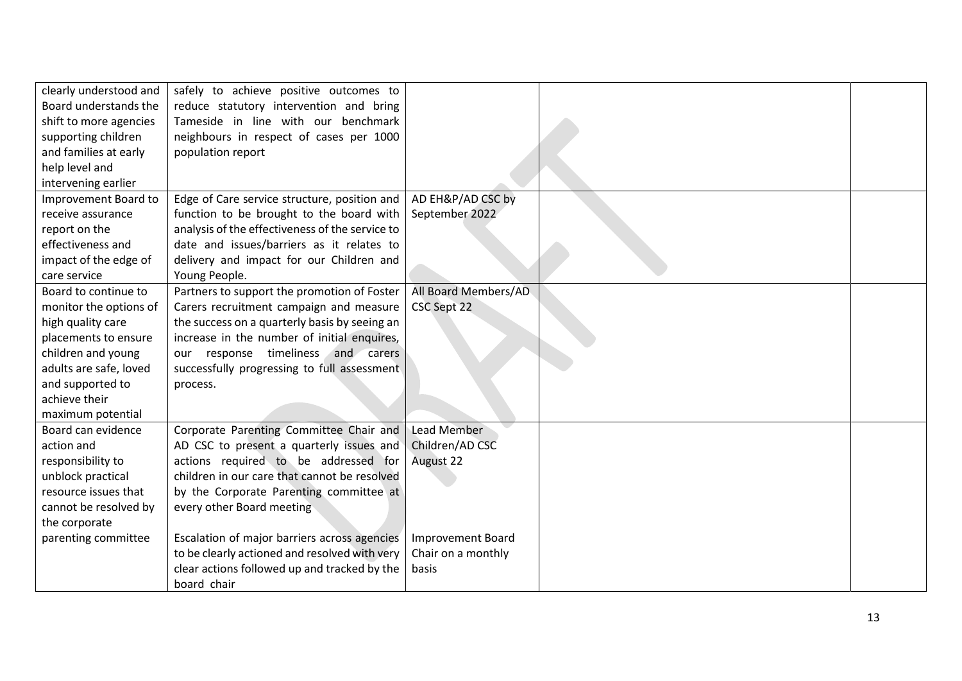| clearly understood and | safely to achieve positive outcomes to          |                          |  |
|------------------------|-------------------------------------------------|--------------------------|--|
| Board understands the  | reduce statutory intervention and bring         |                          |  |
| shift to more agencies | Tameside in line with our benchmark             |                          |  |
| supporting children    | neighbours in respect of cases per 1000         |                          |  |
| and families at early  | population report                               |                          |  |
| help level and         |                                                 |                          |  |
| intervening earlier    |                                                 |                          |  |
| Improvement Board to   | Edge of Care service structure, position and    | AD EH&P/AD CSC by        |  |
| receive assurance      | function to be brought to the board with        | September 2022           |  |
| report on the          | analysis of the effectiveness of the service to |                          |  |
| effectiveness and      | date and issues/barriers as it relates to       |                          |  |
| impact of the edge of  | delivery and impact for our Children and        |                          |  |
| care service           | Young People.                                   |                          |  |
| Board to continue to   | Partners to support the promotion of Foster     | All Board Members/AD     |  |
| monitor the options of | Carers recruitment campaign and measure         | CSC Sept 22              |  |
| high quality care      | the success on a quarterly basis by seeing an   |                          |  |
| placements to ensure   | increase in the number of initial enquires,     |                          |  |
| children and young     | our response timeliness and carers              |                          |  |
| adults are safe, loved | successfully progressing to full assessment     |                          |  |
| and supported to       | process.                                        |                          |  |
| achieve their          |                                                 |                          |  |
| maximum potential      |                                                 |                          |  |
| Board can evidence     | Corporate Parenting Committee Chair and         | <b>Lead Member</b>       |  |
| action and             | AD CSC to present a quarterly issues and        | Children/AD CSC          |  |
| responsibility to      | actions required to be addressed for            | August 22                |  |
| unblock practical      | children in our care that cannot be resolved    |                          |  |
| resource issues that   | by the Corporate Parenting committee at         |                          |  |
| cannot be resolved by  | every other Board meeting                       |                          |  |
| the corporate          |                                                 |                          |  |
| parenting committee    | Escalation of major barriers across agencies    | <b>Improvement Board</b> |  |
|                        | to be clearly actioned and resolved with very   | Chair on a monthly       |  |
|                        | clear actions followed up and tracked by the    | basis                    |  |
|                        | board chair                                     |                          |  |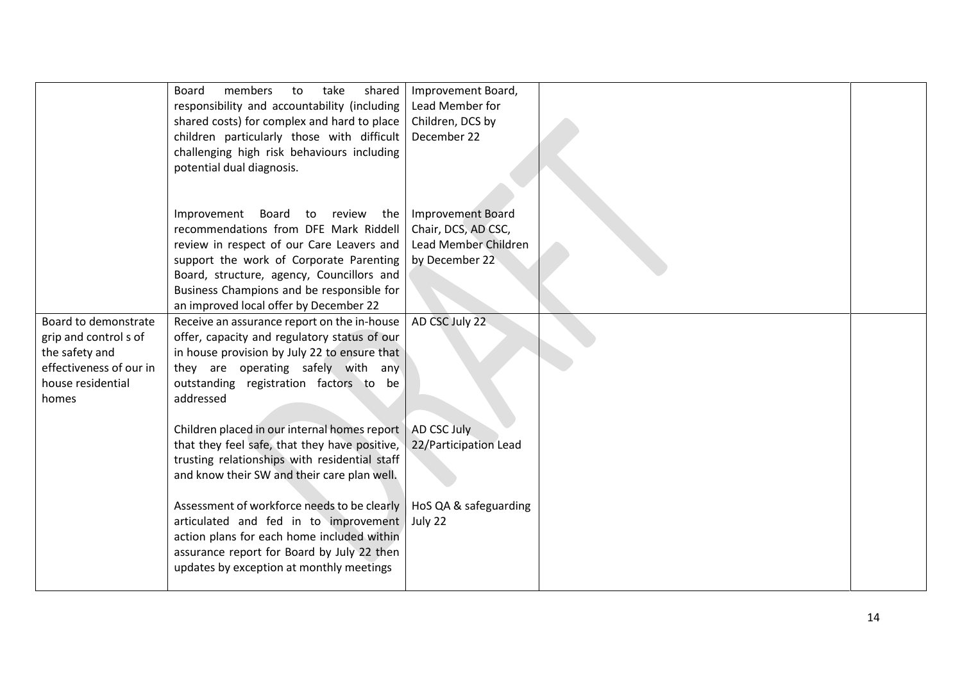|                                                                                                                          | shared<br><b>Board</b><br>members<br>take<br>to<br>responsibility and accountability (including<br>shared costs) for complex and hard to place<br>children particularly those with difficult<br>challenging high risk behaviours including<br>potential dual diagnosis.                              | Improvement Board,<br>Lead Member for<br>Children, DCS by<br>December 22                  |  |
|--------------------------------------------------------------------------------------------------------------------------|------------------------------------------------------------------------------------------------------------------------------------------------------------------------------------------------------------------------------------------------------------------------------------------------------|-------------------------------------------------------------------------------------------|--|
|                                                                                                                          | Improvement Board to review the<br>recommendations from DFE Mark Riddell<br>review in respect of our Care Leavers and<br>support the work of Corporate Parenting<br>Board, structure, agency, Councillors and<br>Business Champions and be responsible for<br>an improved local offer by December 22 | <b>Improvement Board</b><br>Chair, DCS, AD CSC,<br>Lead Member Children<br>by December 22 |  |
| Board to demonstrate<br>grip and control s of<br>the safety and<br>effectiveness of our in<br>house residential<br>homes | Receive an assurance report on the in-house<br>offer, capacity and regulatory status of our<br>in house provision by July 22 to ensure that<br>they are operating safely with any<br>outstanding registration factors to be<br>addressed                                                             | AD CSC July 22                                                                            |  |
|                                                                                                                          | Children placed in our internal homes report<br>that they feel safe, that they have positive,<br>trusting relationships with residential staff<br>and know their SW and their care plan well.                                                                                                        | AD CSC July<br>22/Participation Lead                                                      |  |
|                                                                                                                          | Assessment of workforce needs to be clearly<br>articulated and fed in to improvement<br>action plans for each home included within<br>assurance report for Board by July 22 then<br>updates by exception at monthly meetings                                                                         | HoS QA & safeguarding<br>July 22                                                          |  |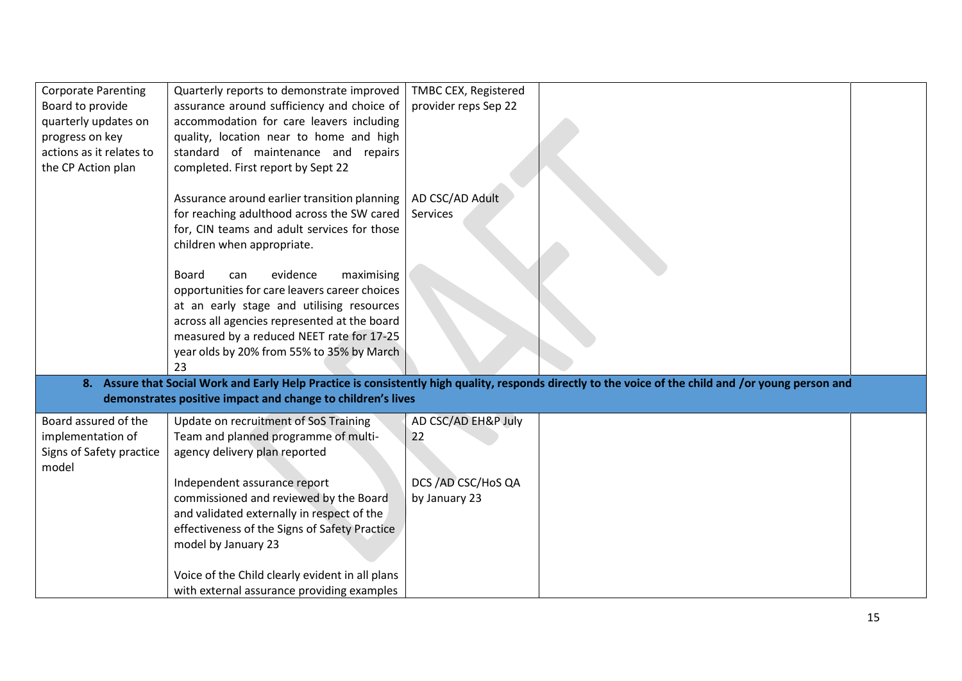| <b>Corporate Parenting</b> | Quarterly reports to demonstrate improved                                                                                                                               | TMBC CEX, Registered        |                                                                                                                                                       |  |
|----------------------------|-------------------------------------------------------------------------------------------------------------------------------------------------------------------------|-----------------------------|-------------------------------------------------------------------------------------------------------------------------------------------------------|--|
| Board to provide           | assurance around sufficiency and choice of                                                                                                                              | provider reps Sep 22        |                                                                                                                                                       |  |
| quarterly updates on       | accommodation for care leavers including                                                                                                                                |                             |                                                                                                                                                       |  |
| progress on key            | quality, location near to home and high                                                                                                                                 |                             |                                                                                                                                                       |  |
| actions as it relates to   | standard of maintenance and repairs                                                                                                                                     |                             |                                                                                                                                                       |  |
| the CP Action plan         | completed. First report by Sept 22                                                                                                                                      |                             |                                                                                                                                                       |  |
|                            | Assurance around earlier transition planning<br>for reaching adulthood across the SW cared<br>for, CIN teams and adult services for those<br>children when appropriate. | AD CSC/AD Adult<br>Services |                                                                                                                                                       |  |
|                            | evidence<br><b>Board</b><br>maximising<br>can                                                                                                                           |                             |                                                                                                                                                       |  |
|                            | opportunities for care leavers career choices                                                                                                                           |                             |                                                                                                                                                       |  |
|                            | at an early stage and utilising resources                                                                                                                               |                             |                                                                                                                                                       |  |
|                            | across all agencies represented at the board                                                                                                                            |                             |                                                                                                                                                       |  |
|                            | measured by a reduced NEET rate for 17-25                                                                                                                               |                             |                                                                                                                                                       |  |
|                            | year olds by 20% from 55% to 35% by March                                                                                                                               |                             |                                                                                                                                                       |  |
|                            | 23                                                                                                                                                                      |                             |                                                                                                                                                       |  |
|                            |                                                                                                                                                                         |                             | 8. Assure that Social Work and Early Help Practice is consistently high quality, responds directly to the voice of the child and /or young person and |  |
|                            | demonstrates positive impact and change to children's lives                                                                                                             |                             |                                                                                                                                                       |  |
| Board assured of the       | Update on recruitment of SoS Training                                                                                                                                   | AD CSC/AD EH&P July         |                                                                                                                                                       |  |
| implementation of          | Team and planned programme of multi-                                                                                                                                    | 22                          |                                                                                                                                                       |  |
| Signs of Safety practice   | agency delivery plan reported                                                                                                                                           |                             |                                                                                                                                                       |  |
| model                      |                                                                                                                                                                         |                             |                                                                                                                                                       |  |
|                            | Independent assurance report                                                                                                                                            | DCS / AD CSC/HoS QA         |                                                                                                                                                       |  |
|                            | commissioned and reviewed by the Board<br>and validated externally in respect of the                                                                                    | by January 23               |                                                                                                                                                       |  |
|                            | effectiveness of the Signs of Safety Practice                                                                                                                           |                             |                                                                                                                                                       |  |
|                            | model by January 23                                                                                                                                                     |                             |                                                                                                                                                       |  |
|                            |                                                                                                                                                                         |                             |                                                                                                                                                       |  |
|                            | Voice of the Child clearly evident in all plans                                                                                                                         |                             |                                                                                                                                                       |  |
|                            | with external assurance providing examples                                                                                                                              |                             |                                                                                                                                                       |  |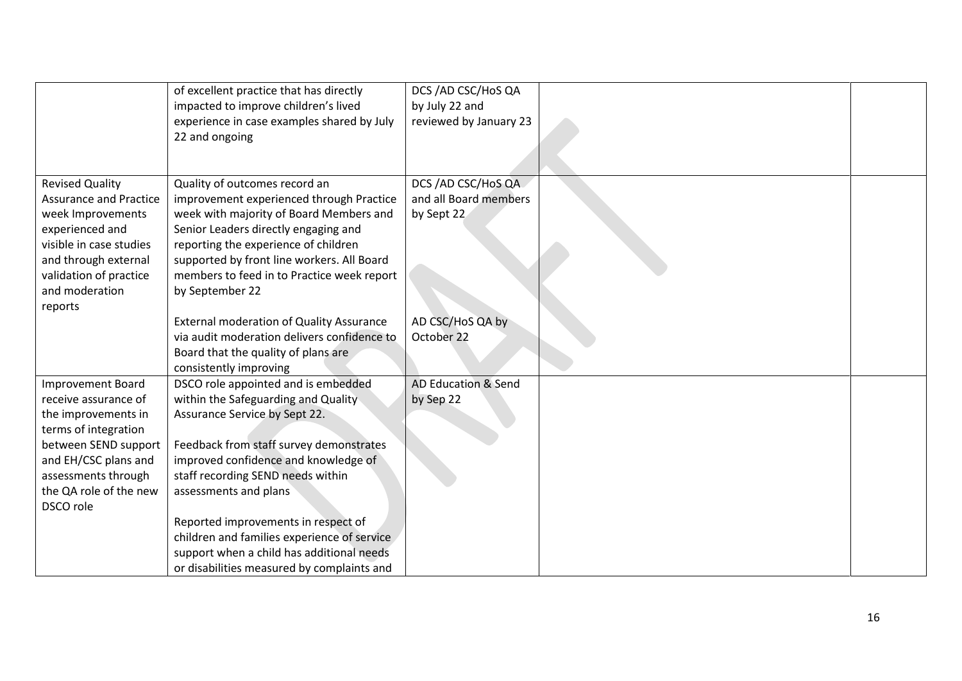|                               | of excellent practice that has directly         | DCS / AD CSC/HoS QA            |  |
|-------------------------------|-------------------------------------------------|--------------------------------|--|
|                               | impacted to improve children's lived            | by July 22 and                 |  |
|                               | experience in case examples shared by July      | reviewed by January 23         |  |
|                               | 22 and ongoing                                  |                                |  |
|                               |                                                 |                                |  |
|                               |                                                 |                                |  |
| <b>Revised Quality</b>        | Quality of outcomes record an                   | DCS /AD CSC/HoS QA             |  |
| <b>Assurance and Practice</b> | improvement experienced through Practice        | and all Board members          |  |
| week Improvements             | week with majority of Board Members and         | by Sept 22                     |  |
| experienced and               | Senior Leaders directly engaging and            |                                |  |
| visible in case studies       | reporting the experience of children            |                                |  |
| and through external          | supported by front line workers. All Board      |                                |  |
| validation of practice        | members to feed in to Practice week report      |                                |  |
| and moderation                | by September 22                                 |                                |  |
| reports                       |                                                 |                                |  |
|                               | <b>External moderation of Quality Assurance</b> | AD CSC/HoS QA by               |  |
|                               | via audit moderation delivers confidence to     | October 22                     |  |
|                               | Board that the quality of plans are             |                                |  |
|                               | consistently improving                          |                                |  |
| <b>Improvement Board</b>      | DSCO role appointed and is embedded             | <b>AD Education &amp; Send</b> |  |
| receive assurance of          | within the Safeguarding and Quality             | by Sep 22                      |  |
| the improvements in           | Assurance Service by Sept 22.                   |                                |  |
| terms of integration          |                                                 |                                |  |
| between SEND support          | Feedback from staff survey demonstrates         |                                |  |
| and EH/CSC plans and          | improved confidence and knowledge of            |                                |  |
| assessments through           | staff recording SEND needs within               |                                |  |
| the QA role of the new        | assessments and plans                           |                                |  |
| DSCO role                     |                                                 |                                |  |
|                               | Reported improvements in respect of             |                                |  |
|                               | children and families experience of service     |                                |  |
|                               | support when a child has additional needs       |                                |  |
|                               | or disabilities measured by complaints and      |                                |  |